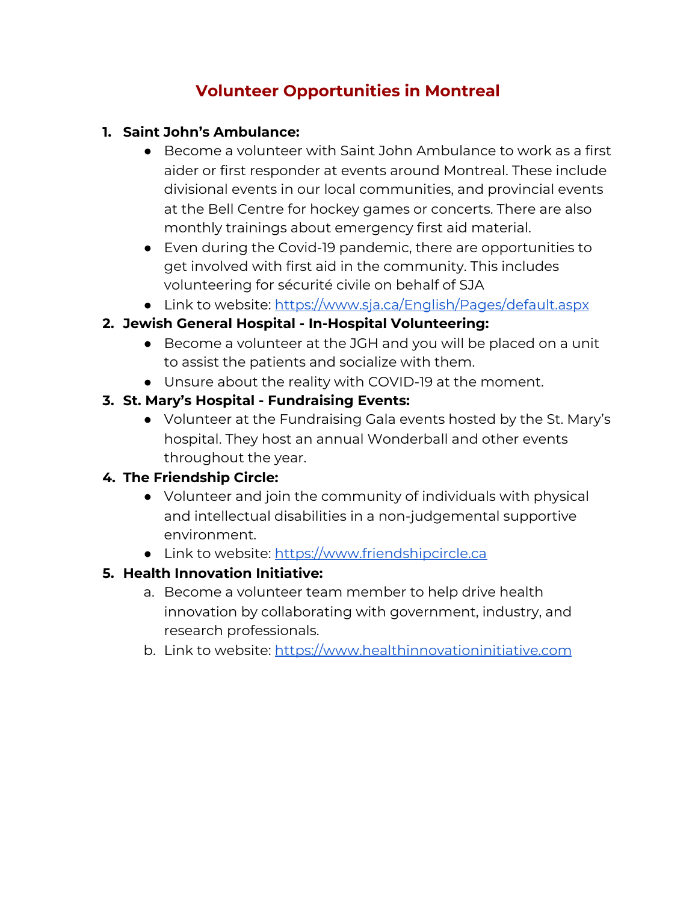# **Volunteer Opportunities in Montreal**

#### **1. Saint John's Ambulance:**

- Become a volunteer with Saint John Ambulance to work as a first aider or first responder at events around Montreal. These include divisional events in our local communities, and provincial events at the Bell Centre for hockey games or concerts. There are also monthly trainings about emergency first aid material.
- Even during the Covid-19 pandemic, there are opportunities to get involved with first aid in the community. This includes volunteering for sécurité civile on behalf of SJA
- Link to website: <https://www.sja.ca/English/Pages/default.aspx>

#### **2. Jewish General Hospital - In-Hospital Volunteering:**

- Become a volunteer at the JGH and you will be placed on a unit to assist the patients and socialize with them.
- Unsure about the reality with COVID-19 at the moment.

# **3. St. Mary's Hospital - Fundraising Events:**

● Volunteer at the Fundraising Gala events hosted by the St. Mary's hospital. They host an annual Wonderball and other events throughout the year.

# **4. The Friendship Circle:**

- Volunteer and join the community of individuals with physical and intellectual disabilities in a non-judgemental supportive environment.
- Link to website: [https://www.friendshipcircle.ca](https://www.friendshipcircle.ca/)

# **5. Health Innovation Initiative:**

- a. Become a volunteer team member to help drive health innovation by collaborating with government, industry, and research professionals.
- b. Link to website: [https://www.healthinnovationinitiative.com](https://www.healthinnovationinitiative.com/)